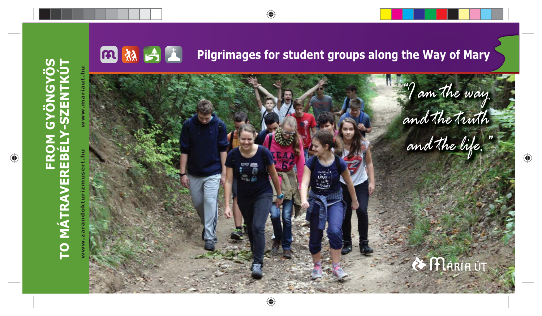

⊕

**FROM GYÖNGYÖS**

 $\bigoplus$ 

◈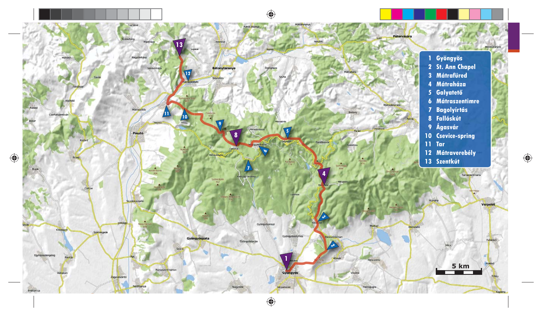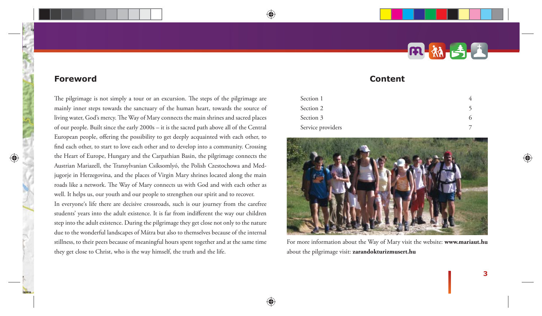# **Content**

| Section 1         |  |
|-------------------|--|
| Section 2         |  |
| Section 3         |  |
| Service providers |  |



For more information about the Way of Mary visit the website: **www.mariaut.hu**  about the pilgrimage visit: **zarandokturizmusert.hu**

**3**

**Foreword**

The pilgrimage is not simply a tour or an excursion. The steps of the pilgrimage are mainly inner steps towards the sanctuary of the human heart, towards the source of living water, God's mercy. The Way of Mary connects the main shrines and sacred places of our people. Built since the early 2000s – it is the sacred path above all of the Central European people, offering the possibility to get deeply acquainted with each other, to find each other, to start to love each other and to develop into a community. Crossing the Heart of Europe, Hungary and the Carpathian Basin, the pilgrimage connects the Austrian Mariazell, the Transylvanian Csíksomlyó, the Polish Czestochowa and Medjugorje in Herzegovina, and the places of Virgin Mary shrines located along the main roads like a network. The Way of Mary connects us with God and with each other as well. It helps us, our youth and our people to strengthen our spirit and to recover.

In everyone's life there are decisive crossroads, such is our journey from the carefree students' years into the adult existence. It is far from indifferent the way our children step into the adult existence. During the pilgrimage they get close not only to the nature due to the wonderful landscapes of Mátra but also to themselves because of the internal stillness, to their peers because of meaningful hours spent together and at the same time they get close to Christ, who is the way himself, the truth and the life.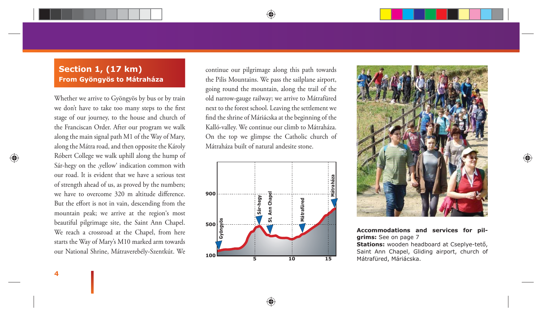### **Section 1, (17 km) From Gyöngyös to Mátraháza**

Whether we arrive to Gyöngyös by bus or by train we don't have to take too many steps to the first stage of our journey, to the house and church of the Franciscan Order. After our program we walk along the main signal path M1 of the Way of Mary, along the Mátra road, and then opposite the Károly Róbert College we walk uphill along the hump of Sár-hegy on the ,yellow' indication common with our road. It is evident that we have a serious test of strength ahead of us, as proved by the numbers; we have to overcome 320 m altitude difference. But the effort is not in vain, descending from the mountain peak; we arrive at the region's most beautiful pilgrimage site, the Saint Ann Chapel. We reach a crossroad at the Chapel, from here starts the Way of Mary's M10 marked arm towards our National Shrine, Mátraverebély-Szentkút. We

**4**

continue our pilgrimage along this path towards the Pilis Mountains. We pass the sailplane airport, going round the mountain, along the trail of the old narrow-gauge railway; we arrive to Mátrafüred next to the forest school. Leaving the settlement we find the shrine of Máriácska at the beginning of the Kalló-valley. We continue our climb to Mátraháza. On the top we glimpse the Catholic church of Mátraháza built of natural andesite stone.





**Accommodations and services for pilgrims:** See on page 7

**Stations:** wooden headboard at Cseplye-tető, Saint Ann Chapel, Gliding airport, church of Mátrafüred, Máriácska.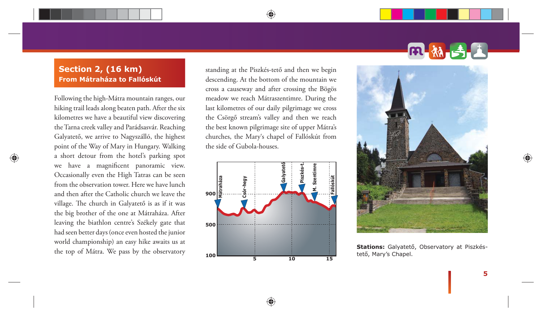#### **Section 2, (16 km) From Mátraháza to Fallóskút**

Following the high-Mátra mountain ranges, our hiking trail leads along beaten path. After the six kilometres we have a beautiful view discovering the Tarna creek valley and Parádsasvár. Reaching Galyatető, we arrive to Nagyszálló, the highest point of the Way of Mary in Hungary. Walking a short detour from the hotel's parking spot we have a magnificent panoramic view. Occasionally even the High Tatras can be seen from the observation tower. Here we have lunch and then after the Catholic church we leave the village. The church in Galyatető is as if it was the big brother of the one at Mátraháza. After leaving the biathlon centre's Székely gate that had seen better days (once even hosted the junior world championship) an easy hike awaits us at the top of Mátra. We pass by the observatory

standing at the Piszkés-tető and then we begin descending. At the bottom of the mountain we cross a causeway and after crossing the Bögös meadow we reach Mátraszentimre. During the last kilometres of our daily pilgrimage we cross the Csörgő stream's valley and then we reach the best known pilgrimage site of upper Mátra's churches, the Mary's chapel of Fallóskút from the side of Gubola-houses.

◈







**Stations:** Galyatető, Observatory at Piszkéstető, Mary's Chapel.

**5**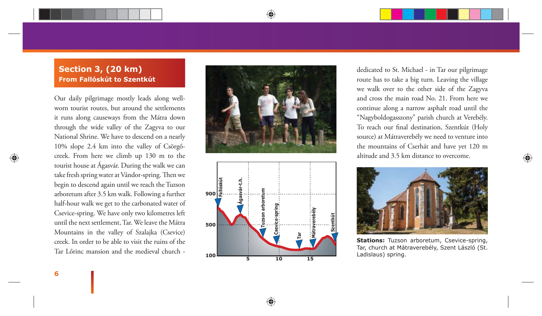### **Section 3, (20 km) From Fallóskút to Szentkút**

Our daily pilgrimage mostly leads along wellworn tourist routes, but around the settlements it runs along causeways from the Mátra down through the wide valley of the Zagyva to our National Shrine. We have to descend on a nearly 10% slope 2.4 km into the valley of Csörgőcreek. From here we climb up 130 m to the tourist house at Ágasvár. During the walk we can take fresh spring water at Vándor-spring. Then we begin to descend again until we reach the Tuzson arboretum after 3.5 km walk. Following a further half-hour walk we get to the carbonated water of Csevice-spring. We have only two kilometres left until the next settlement, Tar. We leave the Mátra Mountains in the valley of Szalajka (Csevice) creek. In order to be able to visit the ruins of the Tar Lőrinc mansion and the medieval church -



♠



dedicated to St. Michael - in Tar our pilgrimage route has to take a big turn. Leaving the village we walk over to the other side of the Zagyva and cross the main road No. 21. From here we continue along a narrow asphalt road until the "Nagyboldogasszony" parish church at Verebély. To reach our final destination, Szentkút (Holy source) at Mátraverebély we need to venture into the mountains of Cserhát and have yet 120 m altitude and 3.5 km distance to overcome.



**Stations:** Tuzson arboretum, Csevice-spring, Tar, church at Mátraverebély, Szent László (St. Ladislaus) spring.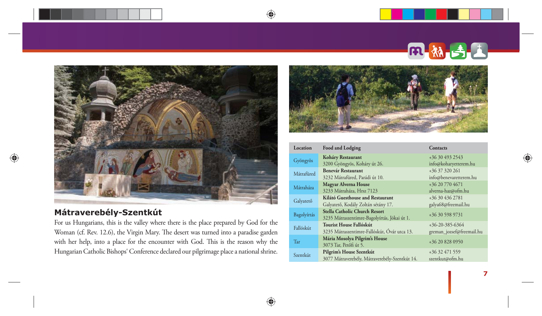

◈

♠

## **Mátraverebély-Szentkút**

⊕

For us Hungarians, this is the valley where there is the place prepared by God for the Woman (cf. Rev. 12.6), the Virgin Mary. The desert was turned into a paradise garden with her help, into a place for the encounter with God. This is the reason why the Hungarian Catholic Bishops' Conference declared our pilgrimage place a national shrine.



ß

| Location    | <b>Food and Lodging</b>                                                       | Contacts                                       |
|-------------|-------------------------------------------------------------------------------|------------------------------------------------|
| Gyöngyös    | Koháry Restaurant<br>3200 Gyöngyös, Koháry út 26.                             | +36 30 493 2543<br>info@koharyetterem.hu       |
| Mátrafüred  | <b>Benevár Restaurant</b><br>3232 Mátrafüred, Parádi út 10.                   | +36 37 320 261<br>info@benevaretterem.hu       |
| Mátraháza   | <b>Magyar Alverna House</b><br>3233 Mátraháza, Hrsz 7123                      | +36 20 770 4671<br>alverna-haz@ofm.hu          |
| Galyatető   | Kilátó Guesthouse and Restaurant<br>Galyatető, Kodály Zoltán sétány 17.       | +36 30 436 2781<br>galya68@freemail.hu         |
| Bagolyírtás | Stella Catholic Church Resort<br>3235 Mátraszentimre-Bagolyírtás, Jókai út 1. | +36 30 598 9731                                |
| Fallóskút   | Tourist House Fallóskút<br>3235 Mátraszentimre-Fallóskút, Óvár utca 13.       | $+36-20-385-6364$<br>greman_jozsef@freemail.hu |
| Tar         | Mária Mosolya Pilgrim's House<br>3073 Tar, Petőfi út 5.                       | +36 20 828 0950                                |
| Szentkút    | Pilgrim's House Szentkút<br>3077 Mátraverebély, Mátraverebély-Szentkút 14.    | +36 32 471 559<br>szentkut@ofm.hu              |

**7**

♠